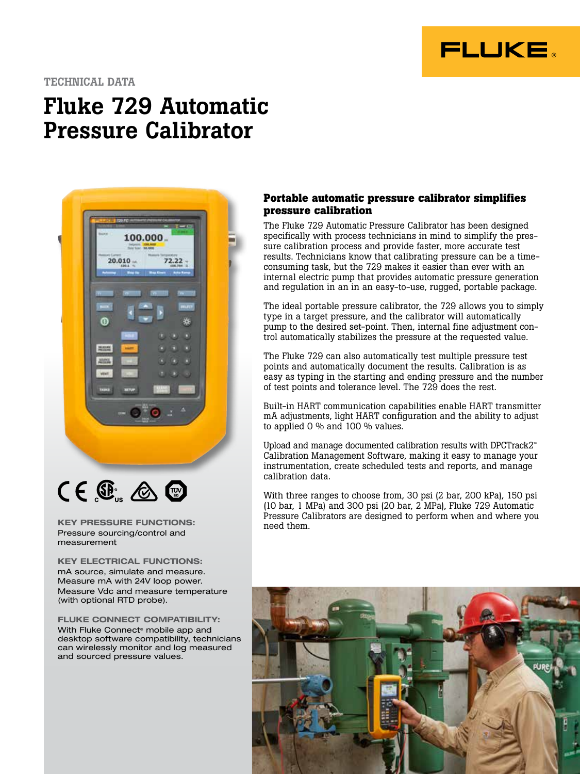

### TECHNICAL DATA

# Fluke 729 Automatic Pressure Calibrator





KEY PRESSURE FUNCTIONS: Pressure sourcing/control and measurement

KEY ELECTRICAL FUNCTIONS: mA source, simulate and measure. Measure mA with 24V loop power. Measure Vdc and measure temperature (with optional RTD probe).

FLUKE CONNECT COMPATIBILITY: With Fluke Connect<sup>®</sup> mobile app and desktop software compatibility, technicians can wirelessly monitor and log measured and sourced pressure values.

### **Portable automatic pressure calibrator simplifies pressure calibration**

The Fluke 729 Automatic Pressure Calibrator has been designed specifically with process technicians in mind to simplify the pressure calibration process and provide faster, more accurate test results. Technicians know that calibrating pressure can be a timeconsuming task, but the 729 makes it easier than ever with an internal electric pump that provides automatic pressure generation and regulation in an in an easy-to-use, rugged, portable package.

The ideal portable pressure calibrator, the 729 allows you to simply type in a target pressure, and the calibrator will automatically pump to the desired set-point. Then, internal fine adjustment control automatically stabilizes the pressure at the requested value.

The Fluke 729 can also automatically test multiple pressure test points and automatically document the results. Calibration is as easy as typing in the starting and ending pressure and the number of test points and tolerance level. The 729 does the rest.

Built-in HART communication capabilities enable HART transmitter mA adjustments, light HART configuration and the ability to adjust to applied 0 % and 100 % values.

Upload and manage documented calibration results with DPCTrack2™ Calibration Management Software, making it easy to manage your instrumentation, create scheduled tests and reports, and manage calibration data.

With three ranges to choose from, 30 psi (2 bar, 200 kPa), 150 psi (10 bar, 1 MPa) and 300 psi (20 bar, 2 MPa), Fluke 729 Automatic Pressure Calibrators are designed to perform when and where you need them.

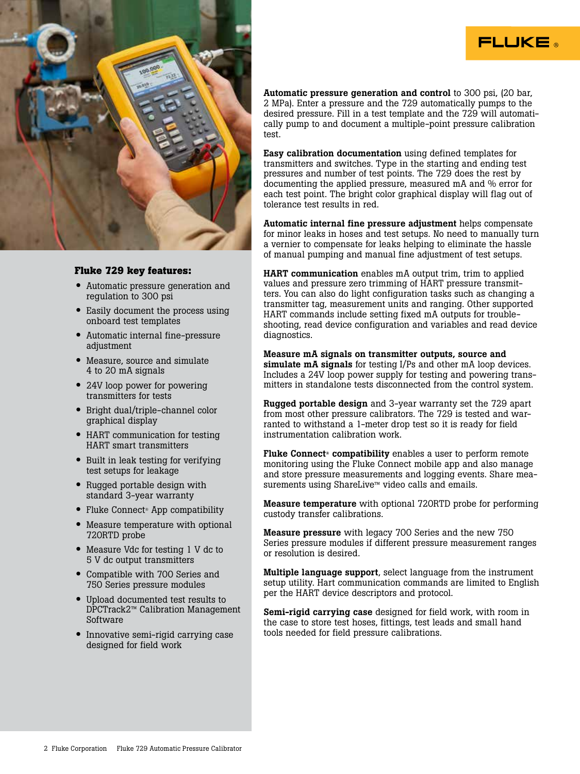

### **Fluke 729 key features:**

- Automatic pressure generation and regulation to 300 psi
- Easily document the process using onboard test templates
- Automatic internal fine-pressure adjustment
- Measure, source and simulate 4 to 20 mA signals
- 24V loop power for powering transmitters for tests
- Bright dual/triple-channel color graphical display
- HART communication for testing HART smart transmitters
- Built in leak testing for verifying test setups for leakage
- Rugged portable design with standard 3-year warranty
- Fluke Connect<sup>®</sup> App compatibility
- Measure temperature with optional 720RTD probe
- Measure Vdc for testing 1 V dc to 5 V dc output transmitters
- Compatible with 700 Series and 750 Series pressure modules
- Upload documented test results to DPCTrack2™ Calibration Management Software
- Innovative semi-rigid carrying case designed for field work

Automatic pressure generation and control to 300 psi, (20 bar, 2 MPa). Enter a pressure and the 729 automatically pumps to the desired pressure. Fill in a test template and the 729 will automatically pump to and document a multiple-point pressure calibration test.

FLUKE ®

Easy calibration documentation using defined templates for transmitters and switches. Type in the starting and ending test pressures and number of test points. The 729 does the rest by documenting the applied pressure, measured mA and % error for each test point. The bright color graphical display will flag out of tolerance test results in red.

Automatic internal fine pressure adjustment helps compensate for minor leaks in hoses and test setups. No need to manually turn a vernier to compensate for leaks helping to eliminate the hassle of manual pumping and manual fine adjustment of test setups.

HART communication enables mA output trim, trim to applied values and pressure zero trimming of HART pressure transmitters. You can also do light configuration tasks such as changing a transmitter tag, measurement units and ranging. Other supported HART commands include setting fixed mA outputs for troubleshooting, read device configuration and variables and read device diagnostics.

Measure mA signals on transmitter outputs, source and simulate mA signals for testing I/Ps and other mA loop devices. Includes a 24V loop power supply for testing and powering transmitters in standalone tests disconnected from the control system.

Rugged portable design and 3-year warranty set the 729 apart from most other pressure calibrators. The 729 is tested and warranted to withstand a 1-meter drop test so it is ready for field instrumentation calibration work.

Fluke Connect<sup>®</sup> compatibility enables a user to perform remote monitoring using the Fluke Connect mobile app and also manage and store pressure measurements and logging events. Share measurements using ShareLive™ video calls and emails.

Measure temperature with optional 720RTD probe for performing custody transfer calibrations.

Measure pressure with legacy 700 Series and the new 750 Series pressure modules if different pressure measurement ranges or resolution is desired.

Multiple language support, select language from the instrument setup utility. Hart communication commands are limited to English per the HART device descriptors and protocol.

Semi-rigid carrying case designed for field work, with room in the case to store test hoses, fittings, test leads and small hand tools needed for field pressure calibrations.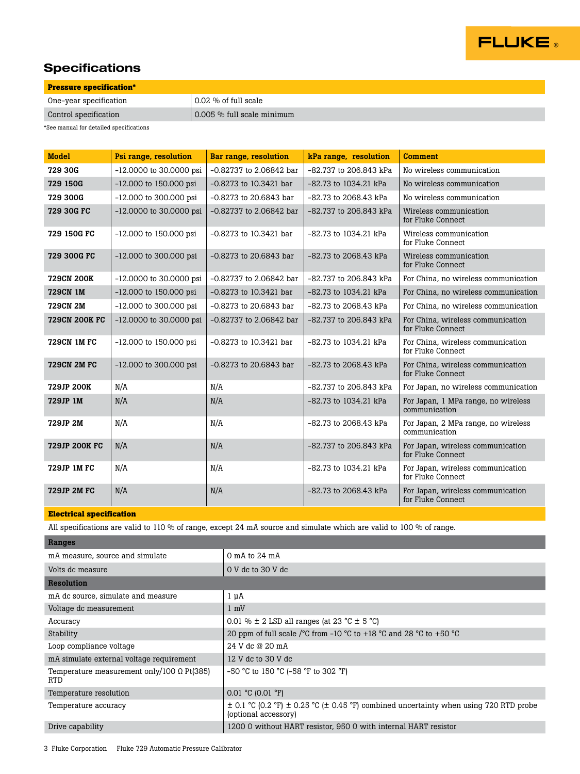

## **Specifications**

| <b>Pressure specification*</b>            |                            |  |
|-------------------------------------------|----------------------------|--|
| One-year specification                    | $0.02\%$ of full scale     |  |
| Control specification                     | 0.005 % full scale minimum |  |
| *Caa maanial fau datailad suasifisationa. |                            |  |

\*See manual for detailed specifications

| <b>Model</b>         | Psi range, resolution     | <b>Bar range, resolution</b> | kPa range, resolution     | <b>Comment</b>                                         |
|----------------------|---------------------------|------------------------------|---------------------------|--------------------------------------------------------|
| 729 30G              | -12.0000 to 30.0000 psi   | $-0.82737$ to 2.06842 bar    | -82.737 to 206.843 kPa    | No wireless communication                              |
| 729 150G             | -12.000 to 150.000 psi    | $-0.8273$ to $10.3421$ bar   | $-82.73$ to $1034.21$ kPa | No wireless communication                              |
| 729 300G             | -12.000 to 300.000 psi    | $-0.8273$ to 20.6843 bar     | $-82.73$ to 2068.43 kPa   | No wireless communication                              |
| 729 30G FC           | -12.0000 to 30.0000 psi   | $-0.82737$ to 2.06842 bar    | -82.737 to 206.843 kPa    | Wireless communication<br>for Fluke Connect            |
| 729 150G FC          | $-12.000$ to 150.000 psi  | $-0.8273$ to $10.3421$ bar   | $-82.73$ to $1034.21$ kPa | Wireless communication<br>for Fluke Connect            |
| 729 300G FC          | -12.000 to 300.000 psi    | $-0.8273$ to 20.6843 bar     | $-82.73$ to 2068.43 kPa   | Wireless communication<br>for Fluke Connect            |
| <b>729CN 200K</b>    | $-12.0000$ to 30.0000 psi | -0.82737 to 2.06842 bar      | -82.737 to 206.843 kPa    | For China, no wireless communication                   |
| <b>729CN 1M</b>      | $-12.000$ to 150.000 psi  | $-0.8273$ to $10.3421$ bar   | -82.73 to 1034.21 kPa     | For China, no wireless communication                   |
| <b>729CN 2M</b>      | $-12.000$ to 300.000 psi  | $-0.8273$ to 20.6843 bar     | -82.73 to 2068.43 kPa     | For China, no wireless communication                   |
| <b>729CN 200K FC</b> | $-12.0000$ to 30.0000 psi | $-0.82737$ to 2.06842 bar    | -82.737 to 206.843 kPa    | For China, wireless communication<br>for Fluke Connect |
| <b>729CN 1M FC</b>   | $-12.000$ to 150.000 psi  | $-0.8273$ to $10.3421$ bar   | $-82.73$ to $1034.21$ kPa | For China, wireless communication<br>for Fluke Connect |
| <b>729CN 2M FC</b>   | -12.000 to 300.000 psi    | $-0.8273$ to 20.6843 bar     | -82.73 to 2068.43 kPa     | For China, wireless communication<br>for Fluke Connect |
| 729JP 200K           | N/A                       | N/A                          | -82.737 to 206.843 kPa    | For Japan, no wireless communication                   |
| 729JP 1M             | N/A                       | N/A                          | -82.73 to 1034.21 kPa     | For Japan, 1 MPa range, no wireless<br>communication   |
| 729JP 2M             | N/A                       | N/A                          | -82.73 to 2068.43 kPa     | For Japan, 2 MPa range, no wireless<br>communication   |
| <b>729JP 200K FC</b> | N/A                       | N/A                          | -82.737 to 206.843 kPa    | For Japan, wireless communication<br>for Fluke Connect |
| 729JP 1M FC          | N/A                       | N/A                          | -82.73 to 1034.21 kPa     | For Japan, wireless communication<br>for Fluke Connect |
| <b>729JP 2M FC</b>   | N/A                       | N/A                          | $-82.73$ to 2068.43 kPa   | For Japan, wireless communication<br>for Fluke Connect |

### **Electrical specification**

All specifications are valid to 110 % of range, except 24 mA source and simulate which are valid to 100 % of range.

| Ranges                                                   |                                                                                                                            |
|----------------------------------------------------------|----------------------------------------------------------------------------------------------------------------------------|
| mA measure, source and simulate                          | $0$ mA to $24$ mA                                                                                                          |
| Volts dc measure                                         | $0 \text{ V}$ dc to $30 \text{ V}$ dc                                                                                      |
| <b>Resolution</b>                                        |                                                                                                                            |
| mA dc source, simulate and measure                       | $1 \mu A$                                                                                                                  |
| Voltage dc measurement                                   | $1 \text{ mV}$                                                                                                             |
| Accuracy                                                 | 0.01 % $\pm$ 2 LSD all ranges (at 23 °C $\pm$ 5 °C)                                                                        |
| Stability                                                | 20 ppm of full scale / $^{\circ}$ C from -10 $^{\circ}$ C to +18 $^{\circ}$ C and 28 $^{\circ}$ C to +50 $^{\circ}$ C      |
| Loop compliance voltage                                  | 24 V dc @ 20 mA                                                                                                            |
| mA simulate external voltage requirement                 | 12 V dc to 30 V dc                                                                                                         |
| Temperature measurement only/100 $\Omega$ Pt(385)<br>RTD | $-50$ °C to 150 °C ( $-58$ °F to 302 °F)                                                                                   |
| Temperature resolution                                   | $0.01 °C$ (0.01 °F)                                                                                                        |
| Temperature accuracy                                     | $\pm$ 0.1 °C (0.2 °F) $\pm$ 0.25 °C ( $\pm$ 0.45 °F) combined uncertainty when using 720 RTD probe<br>(optional accessory) |
| Drive capability                                         | 1200 $\Omega$ without HART resistor, 950 $\Omega$ with internal HART resistor                                              |
|                                                          |                                                                                                                            |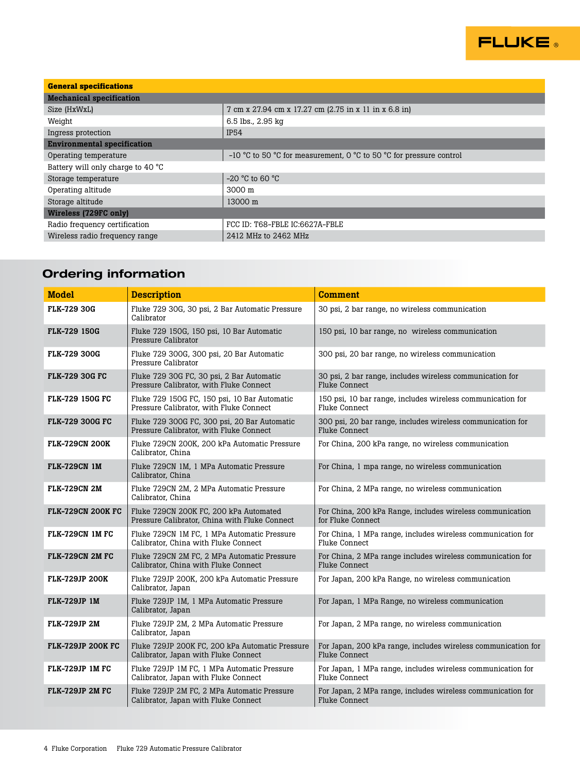

| <b>General specifications</b>      |                                                                     |  |  |  |
|------------------------------------|---------------------------------------------------------------------|--|--|--|
| <b>Mechanical specification</b>    |                                                                     |  |  |  |
| Size (HxWxL)                       | 7 cm x 27.94 cm x 17.27 cm (2.75 in x 11 in x 6.8 in)               |  |  |  |
| Weight                             | 6.5 lbs., 2.95 kg                                                   |  |  |  |
| Ingress protection                 | <b>IP54</b>                                                         |  |  |  |
| <b>Environmental specification</b> |                                                                     |  |  |  |
| Operating temperature              | -10 °C to 50 °C for measurement, 0 °C to 50 °C for pressure control |  |  |  |
| Battery will only charge to 40 °C  |                                                                     |  |  |  |
| Storage temperature                | $-20$ °C to 60 °C                                                   |  |  |  |
| Operating altitude                 | $3000 \text{ m}$                                                    |  |  |  |
| Storage altitude                   | 13000 m                                                             |  |  |  |
| Wireless (729FC only)              |                                                                     |  |  |  |
| Radio frequency certification      | FCC ID: T68-FBLE IC:6627A-FBLE                                      |  |  |  |
| Wireless radio frequency range     | 2412 MHz to 2462 MHz                                                |  |  |  |

# Ordering information

| <b>Model</b>             | <b>Description</b>                                                                      | <b>Comment</b>                                                                      |
|--------------------------|-----------------------------------------------------------------------------------------|-------------------------------------------------------------------------------------|
| <b>FLK-729 30G</b>       | Fluke 729 30G, 30 psi, 2 Bar Automatic Pressure<br>Calibrator                           | 30 psi, 2 bar range, no wireless communication                                      |
| <b>FLK-729 150G</b>      | Fluke 729 150G, 150 psi, 10 Bar Automatic<br>Pressure Calibrator                        | 150 psi, 10 bar range, no wireless communication                                    |
| <b>FLK-729 300G</b>      | Fluke 729 300G, 300 psi, 20 Bar Automatic<br>Pressure Calibrator                        | 300 psi, 20 bar range, no wireless communication                                    |
| <b>FLK-729 30G FC</b>    | Fluke 729 30G FC, 30 psi, 2 Bar Automatic<br>Pressure Calibrator, with Fluke Connect    | 30 psi, 2 bar range, includes wireless communication for<br>Fluke Connect           |
| <b>FLK-729 150G FC</b>   | Fluke 729 150G FC, 150 psi, 10 Bar Automatic<br>Pressure Calibrator, with Fluke Connect | 150 psi, 10 bar range, includes wireless communication for<br>Fluke Connect         |
| <b>FLK-729 300G FC</b>   | Fluke 729 300G FC, 300 psi, 20 Bar Automatic<br>Pressure Calibrator, with Fluke Connect | 300 psi, 20 bar range, includes wireless communication for<br>Fluke Connect         |
| <b>FLK-729CN 200K</b>    | Fluke 729CN 200K, 200 kPa Automatic Pressure<br>Calibrator, China                       | For China, 200 kPa range, no wireless communication                                 |
| <b>FLK-729CN 1M</b>      | Fluke 729CN 1M, 1 MPa Automatic Pressure<br>Calibrator, China                           | For China, 1 mpa range, no wireless communication                                   |
| FLK-729CN 2M             | Fluke 729CN 2M, 2 MPa Automatic Pressure<br>Calibrator, China                           | For China, 2 MPa range, no wireless communication                                   |
| <b>FLK-729CN 200K FC</b> | Fluke 729CN 200K FC, 200 kPa Automated<br>Pressure Calibrator, China with Fluke Connect | For China, 200 kPa Range, includes wireless communication<br>for Fluke Connect      |
| <b>FLK-729CN 1M FC</b>   | Fluke 729CN 1M FC, 1 MPa Automatic Pressure<br>Calibrator, China with Fluke Connect     | For China, 1 MPa range, includes wireless communication for<br>Fluke Connect        |
| FLK-729CN 2M FC          | Fluke 729CN 2M FC, 2 MPa Automatic Pressure<br>Calibrator, China with Fluke Connect     | For China, 2 MPa range includes wireless communication for<br><b>Fluke Connect</b>  |
| <b>FLK-729JP 200K</b>    | Fluke 729JP 200K, 200 kPa Automatic Pressure<br>Calibrator, Japan                       | For Japan, 200 kPa Range, no wireless communication                                 |
| <b>FLK-729JP 1M</b>      | Fluke 729JP 1M, 1 MPa Automatic Pressure<br>Calibrator, Japan                           | For Japan, 1 MPa Range, no wireless communication                                   |
| FLK-729JP 2M             | Fluke 729JP 2M, 2 MPa Automatic Pressure<br>Calibrator, Japan                           | For Japan, 2 MPa range, no wireless communication                                   |
| <b>FLK-729JP 200K FC</b> | Fluke 729JP 200K FC, 200 kPa Automatic Pressure<br>Calibrator, Japan with Fluke Connect | For Japan, 200 kPa range, includes wireless communication for<br>Fluke Connect      |
| FLK-729JP 1M FC          | Fluke 729JP 1M FC. 1 MPa Automatic Pressure<br>Calibrator, Japan with Fluke Connect     | For Japan, 1 MPa range, includes wireless communication for<br><b>Fluke Connect</b> |
| <b>FLK-729JP 2M FC</b>   | Fluke 729JP 2M FC, 2 MPa Automatic Pressure<br>Calibrator, Japan with Fluke Connect     | For Japan, 2 MPa range, includes wireless communication for<br><b>Fluke Connect</b> |